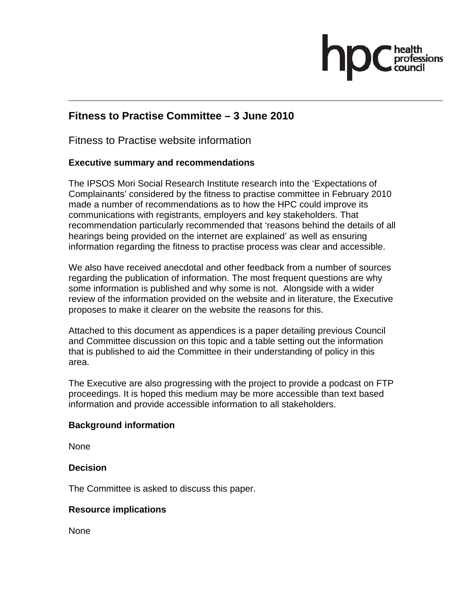# **Fitness to Practise Committee – 3 June 2010**

Fitness to Practise website information

# **Executive summary and recommendations**

The IPSOS Mori Social Research Institute research into the 'Expectations of Complainants' considered by the fitness to practise committee in February 2010 made a number of recommendations as to how the HPC could improve its communications with registrants, employers and key stakeholders. That recommendation particularly recommended that 'reasons behind the details of all hearings being provided on the internet are explained' as well as ensuring information regarding the fitness to practise process was clear and accessible.

We also have received anecdotal and other feedback from a number of sources regarding the publication of information. The most frequent questions are why some information is published and why some is not. Alongside with a wider review of the information provided on the website and in literature, the Executive proposes to make it clearer on the website the reasons for this.

Attached to this document as appendices is a paper detailing previous Council and Committee discussion on this topic and a table setting out the information that is published to aid the Committee in their understanding of policy in this area.

The Executive are also progressing with the project to provide a podcast on FTP proceedings. It is hoped this medium may be more accessible than text based information and provide accessible information to all stakeholders.

# **Background information**

None

# **Decision**

The Committee is asked to discuss this paper.

# **Resource implications**

None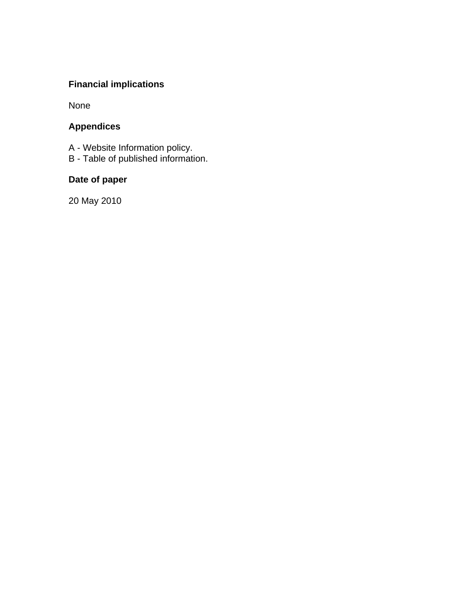# **Financial implications**

None

# **Appendices**

- A Website Information policy.
- B Table of published information.

# **Date of paper**

20 May 2010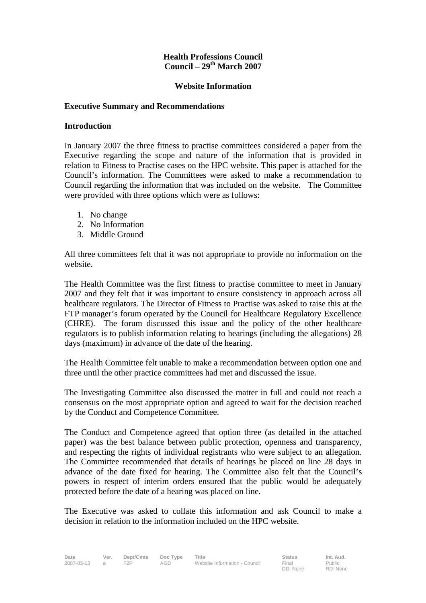#### **Health Professions Council Council – 29th March 2007**

#### **Website Information**

#### **Executive Summary and Recommendations**

#### **Introduction**

In January 2007 the three fitness to practise committees considered a paper from the Executive regarding the scope and nature of the information that is provided in relation to Fitness to Practise cases on the HPC website. This paper is attached for the Council's information. The Committees were asked to make a recommendation to Council regarding the information that was included on the website. The Committee were provided with three options which were as follows:

- 1. No change
- 2. No Information
- 3. Middle Ground

All three committees felt that it was not appropriate to provide no information on the website.

The Health Committee was the first fitness to practise committee to meet in January 2007 and they felt that it was important to ensure consistency in approach across all healthcare regulators. The Director of Fitness to Practise was asked to raise this at the FTP manager's forum operated by the Council for Healthcare Regulatory Excellence (CHRE). The forum discussed this issue and the policy of the other healthcare regulators is to publish information relating to hearings (including the allegations) 28 days (maximum) in advance of the date of the hearing.

The Health Committee felt unable to make a recommendation between option one and three until the other practice committees had met and discussed the issue.

The Investigating Committee also discussed the matter in full and could not reach a consensus on the most appropriate option and agreed to wait for the decision reached by the Conduct and Competence Committee.

The Conduct and Competence agreed that option three (as detailed in the attached paper) was the best balance between public protection, openness and transparency, and respecting the rights of individual registrants who were subject to an allegation. The Committee recommended that details of hearings be placed on line 28 days in advance of the date fixed for hearing. The Committee also felt that the Council's powers in respect of interim orders ensured that the public would be adequately protected before the date of a hearing was placed on line.

The Executive was asked to collate this information and ask Council to make a decision in relation to the information included on the HPC website.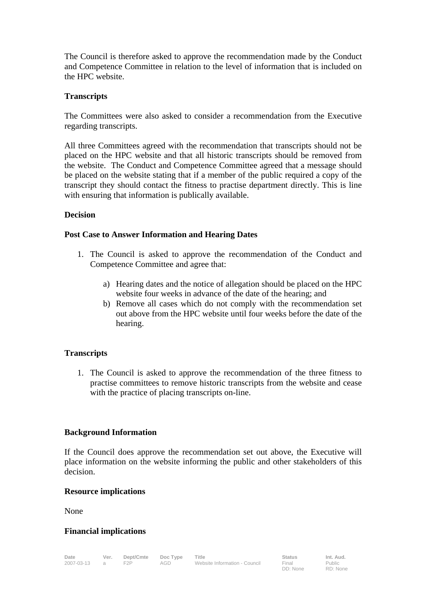The Council is therefore asked to approve the recommendation made by the Conduct and Competence Committee in relation to the level of information that is included on the HPC website.

### **Transcripts**

The Committees were also asked to consider a recommendation from the Executive regarding transcripts.

All three Committees agreed with the recommendation that transcripts should not be placed on the HPC website and that all historic transcripts should be removed from the website. The Conduct and Competence Committee agreed that a message should be placed on the website stating that if a member of the public required a copy of the transcript they should contact the fitness to practise department directly. This is line with ensuring that information is publically available.

#### **Decision**

#### **Post Case to Answer Information and Hearing Dates**

- 1. The Council is asked to approve the recommendation of the Conduct and Competence Committee and agree that:
	- a) Hearing dates and the notice of allegation should be placed on the HPC website four weeks in advance of the date of the hearing; and
	- b) Remove all cases which do not comply with the recommendation set out above from the HPC website until four weeks before the date of the hearing.

# **Transcripts**

1. The Council is asked to approve the recommendation of the three fitness to practise committees to remove historic transcripts from the website and cease with the practice of placing transcripts on-line.

#### **Background Information**

If the Council does approve the recommendation set out above, the Executive will place information on the website informing the public and other stakeholders of this decision.

#### **Resource implications**

None

#### **Financial implications**

DD: None

Public RD: None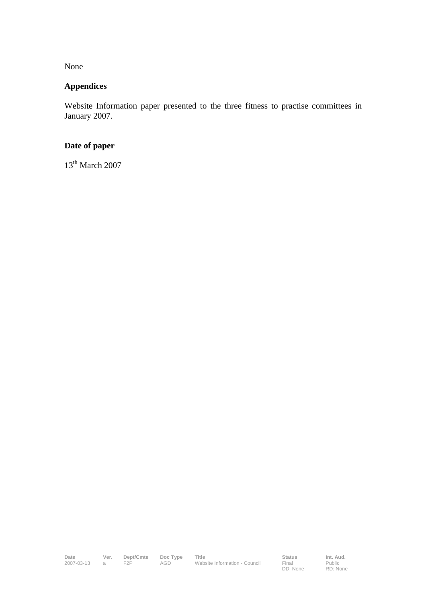None

# **Appendices**

Website Information paper presented to the three fitness to practise committees in January 2007.

# **Date of paper**

13<sup>th</sup> March 2007

**Final**<br>DD: None

Public RD: None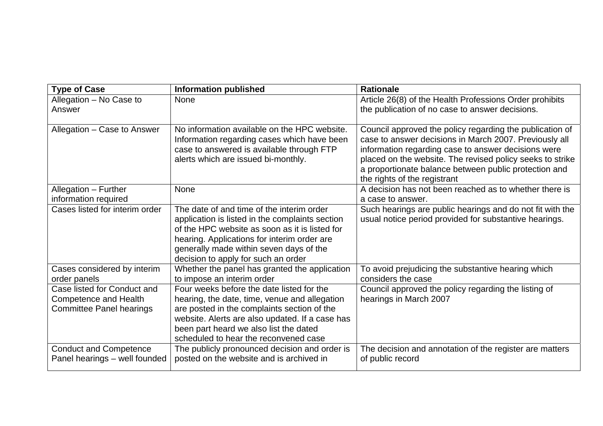| <b>Type of Case</b>                                                                     | <b>Information published</b>                                                                                                                                                                                                                                                    | <b>Rationale</b>                                                                                                                                                                                                                                                                                                                |
|-----------------------------------------------------------------------------------------|---------------------------------------------------------------------------------------------------------------------------------------------------------------------------------------------------------------------------------------------------------------------------------|---------------------------------------------------------------------------------------------------------------------------------------------------------------------------------------------------------------------------------------------------------------------------------------------------------------------------------|
| Allegation - No Case to                                                                 | <b>None</b>                                                                                                                                                                                                                                                                     | Article 26(8) of the Health Professions Order prohibits                                                                                                                                                                                                                                                                         |
| Answer                                                                                  |                                                                                                                                                                                                                                                                                 | the publication of no case to answer decisions.                                                                                                                                                                                                                                                                                 |
| Allegation - Case to Answer                                                             | No information available on the HPC website.<br>Information regarding cases which have been<br>case to answered is available through FTP<br>alerts which are issued bi-monthly.                                                                                                 | Council approved the policy regarding the publication of<br>case to answer decisions in March 2007. Previously all<br>information regarding case to answer decisions were<br>placed on the website. The revised policy seeks to strike<br>a proportionate balance between public protection and<br>the rights of the registrant |
| Allegation - Further                                                                    | <b>None</b>                                                                                                                                                                                                                                                                     | A decision has not been reached as to whether there is                                                                                                                                                                                                                                                                          |
| information required                                                                    |                                                                                                                                                                                                                                                                                 | a case to answer.                                                                                                                                                                                                                                                                                                               |
| Cases listed for interim order                                                          | The date of and time of the interim order<br>application is listed in the complaints section<br>of the HPC website as soon as it is listed for<br>hearing. Applications for interim order are<br>generally made within seven days of the<br>decision to apply for such an order | Such hearings are public hearings and do not fit with the<br>usual notice period provided for substantive hearings.                                                                                                                                                                                                             |
| Cases considered by interim<br>order panels                                             | Whether the panel has granted the application<br>to impose an interim order                                                                                                                                                                                                     | To avoid prejudicing the substantive hearing which<br>considers the case                                                                                                                                                                                                                                                        |
| Case listed for Conduct and<br>Competence and Health<br><b>Committee Panel hearings</b> | Four weeks before the date listed for the<br>hearing, the date, time, venue and allegation<br>are posted in the complaints section of the<br>website. Alerts are also updated. If a case has<br>been part heard we also list the dated<br>scheduled to hear the reconvened case | Council approved the policy regarding the listing of<br>hearings in March 2007                                                                                                                                                                                                                                                  |
| <b>Conduct and Competence</b><br>Panel hearings - well founded                          | The publicly pronounced decision and order is<br>posted on the website and is archived in                                                                                                                                                                                       | The decision and annotation of the register are matters<br>of public record                                                                                                                                                                                                                                                     |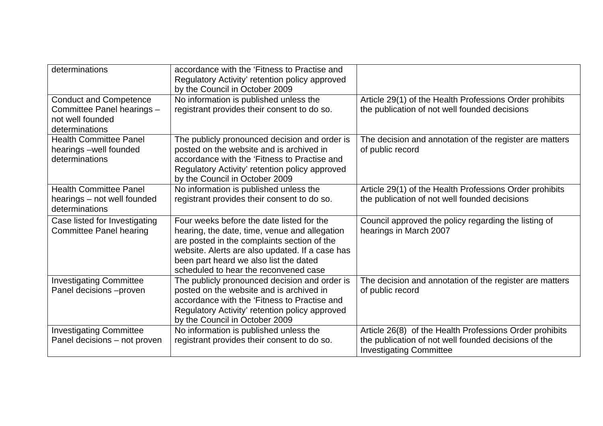| determinations                                                                                    | accordance with the 'Fitness to Practise and<br>Regulatory Activity' retention policy approved<br>by the Council in October 2009                                                                                                                                                |                                                                                                                                                   |
|---------------------------------------------------------------------------------------------------|---------------------------------------------------------------------------------------------------------------------------------------------------------------------------------------------------------------------------------------------------------------------------------|---------------------------------------------------------------------------------------------------------------------------------------------------|
| <b>Conduct and Competence</b><br>Committee Panel hearings -<br>not well founded<br>determinations | No information is published unless the<br>registrant provides their consent to do so.                                                                                                                                                                                           | Article 29(1) of the Health Professions Order prohibits<br>the publication of not well founded decisions                                          |
| <b>Health Committee Panel</b><br>hearings -well founded<br>determinations                         | The publicly pronounced decision and order is<br>posted on the website and is archived in<br>accordance with the 'Fitness to Practise and<br>Regulatory Activity' retention policy approved<br>by the Council in October 2009                                                   | The decision and annotation of the register are matters<br>of public record                                                                       |
| <b>Health Committee Panel</b><br>hearings – not well founded<br>determinations                    | No information is published unless the<br>registrant provides their consent to do so.                                                                                                                                                                                           | Article 29(1) of the Health Professions Order prohibits<br>the publication of not well founded decisions                                          |
| Case listed for Investigating<br><b>Committee Panel hearing</b>                                   | Four weeks before the date listed for the<br>hearing, the date, time, venue and allegation<br>are posted in the complaints section of the<br>website. Alerts are also updated. If a case has<br>been part heard we also list the dated<br>scheduled to hear the reconvened case | Council approved the policy regarding the listing of<br>hearings in March 2007                                                                    |
| <b>Investigating Committee</b><br>Panel decisions -proven                                         | The publicly pronounced decision and order is<br>posted on the website and is archived in<br>accordance with the 'Fitness to Practise and<br>Regulatory Activity' retention policy approved<br>by the Council in October 2009                                                   | The decision and annotation of the register are matters<br>of public record                                                                       |
| <b>Investigating Committee</b><br>Panel decisions - not proven                                    | No information is published unless the<br>registrant provides their consent to do so.                                                                                                                                                                                           | Article 26(8) of the Health Professions Order prohibits<br>the publication of not well founded decisions of the<br><b>Investigating Committee</b> |